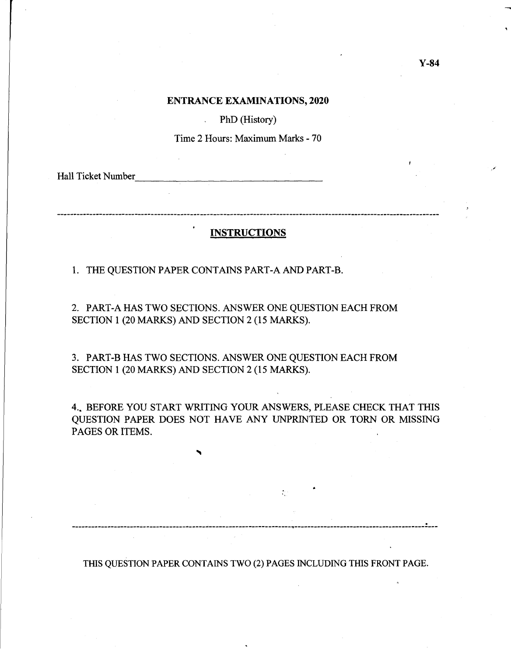### **ENTRANCE EXAMINATIONS, 2020**

PhD (History)

Time 2 Hours: Maximum Marks - 70

Hall Ticket Number

---------------------------

## **INSTRUCTIONS**

1. THE QUESTION PAPER CONTAINS PART-A AND PART-B.

 $\mathbf{r}$ 

2. PART-A HAS TWO SECTIONS. ANSWER ONE QUESTION EACH FROM SECTION 1 (20 MARKS) AND SECTION 2 (15 MARKS).

3. PART-B HAS TWO SECTIONS. ANSWER ONE QUESTION EACH FROM SECTION 1 (20 MARKS) AND SECTION 2 (15 MARKS).

4 .• BEFORE YOU START WRITING YOUR ANSWERS, PLEASE CHECK THAT THIS QUESTION PAPER DOES NOT HAVE ANY UNPRINTED OR TORN OR MISSING PAGES OR ITEMS.

THIS QUESTION PAPER CONTAINS TWO (2) PAGES INCLUDING THIS FRONT PAGE.

. ------------------------------------------------------ -------------~---------------------.------------------ ----

 $\mathcal{L}^{(1)}$